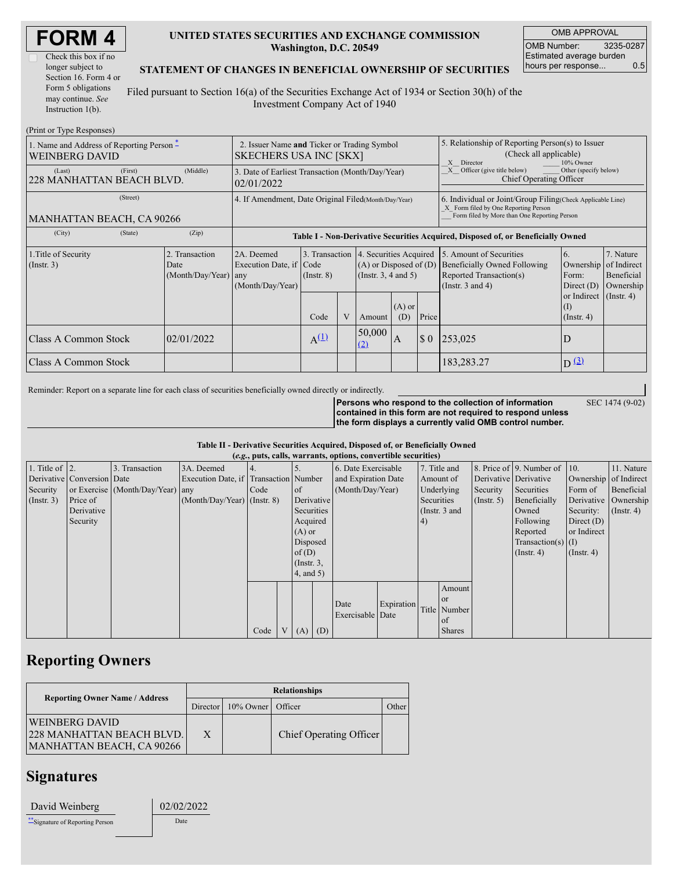| <b>FORM4</b> |  |
|--------------|--|
|--------------|--|

### **UNITED STATES SECURITIES AND EXCHANGE COMMISSION Washington, D.C. 20549**

OMB APPROVAL OMB Number: 3235-0287 Estimated average burden hours per response... 0.5

### **STATEMENT OF CHANGES IN BENEFICIAL OWNERSHIP OF SECURITIES**

Filed pursuant to Section 16(a) of the Securities Exchange Act of 1934 or Section 30(h) of the Investment Company Act of 1940

| (Print or Type Responses)                                                    |                                                                              |                                                                  |                                                                                  |   |                                                                                  |                                                                                                                                                     |             |                                                                                                                    |                                                      |                                      |
|------------------------------------------------------------------------------|------------------------------------------------------------------------------|------------------------------------------------------------------|----------------------------------------------------------------------------------|---|----------------------------------------------------------------------------------|-----------------------------------------------------------------------------------------------------------------------------------------------------|-------------|--------------------------------------------------------------------------------------------------------------------|------------------------------------------------------|--------------------------------------|
| 1. Name and Address of Reporting Person $\tilde{-}$<br><b>WEINBERG DAVID</b> | 2. Issuer Name and Ticker or Trading Symbol<br><b>SKECHERS USA INC [SKX]</b> |                                                                  |                                                                                  |   |                                                                                  | 5. Relationship of Reporting Person(s) to Issuer<br>(Check all applicable)<br>X<br>Director<br>10% Owner                                            |             |                                                                                                                    |                                                      |                                      |
| (First)<br>(Last)<br>228 MANHATTAN BEACH BLVD.                               | 3. Date of Earliest Transaction (Month/Day/Year)<br>02/01/2022               |                                                                  |                                                                                  |   |                                                                                  | $X$ Officer (give title below)<br>Other (specify below)<br>Chief Operating Officer                                                                  |             |                                                                                                                    |                                                      |                                      |
| (Street)<br>MANHATTAN BEACH, CA 90266                                        | 4. If Amendment, Date Original Filed (Month/Day/Year)                        |                                                                  |                                                                                  |   |                                                                                  | 6. Individual or Joint/Group Filing (Check Applicable Line)<br>X Form filed by One Reporting Person<br>Form filed by More than One Reporting Person |             |                                                                                                                    |                                                      |                                      |
| (City)<br>(State)                                                            | (Zip)                                                                        |                                                                  | Table I - Non-Derivative Securities Acquired, Disposed of, or Beneficially Owned |   |                                                                                  |                                                                                                                                                     |             |                                                                                                                    |                                                      |                                      |
| 1. Title of Security<br>$($ Instr. 3 $)$                                     | 2. Transaction<br>Date<br>(Month/Day/Year)                                   | 2A. Deemed<br>Execution Date, if Code<br>any<br>(Month/Day/Year) | 3. Transaction<br>$($ Instr. $8)$                                                |   | 4. Securities Acquired<br>$(A)$ or Disposed of $(D)$<br>(Instr. $3, 4$ and $5$ ) |                                                                                                                                                     |             | 5. Amount of Securities<br><b>Beneficially Owned Following</b><br>Reported Transaction(s)<br>(Instr. $3$ and $4$ ) | 6.<br>Ownership of Indirect<br>Form:<br>Direct $(D)$ | 7. Nature<br>Beneficial<br>Ownership |
|                                                                              |                                                                              |                                                                  | Code                                                                             | V | Amount                                                                           | $(A)$ or<br>(D)                                                                                                                                     | Price       |                                                                                                                    | or Indirect<br>(1)<br>$($ Instr. 4 $)$               | $($ Instr. 4)                        |
| Class A Common Stock                                                         | 02/01/2022                                                                   |                                                                  | $A^{(\underline{1})}$                                                            |   | 50,000<br>(2)                                                                    | A                                                                                                                                                   | $\sqrt{3}0$ | 253,025                                                                                                            | D                                                    |                                      |
| Class A Common Stock                                                         |                                                                              |                                                                  |                                                                                  |   |                                                                                  |                                                                                                                                                     |             | 183,283.27                                                                                                         | $D(\underline{3})$                                   |                                      |

Reminder: Report on a separate line for each class of securities beneficially owned directly or indirectly.

**Persons who respond to the collection of information contained in this form are not required to respond unless**

SEC 1474 (9-02)

**the form displays a currently valid OMB control number.**

#### **Table II - Derivative Securities Acquired, Disposed of, or Beneficially Owned**

| (e.g., puts, calls, warrants, options, convertible securities) |                                |                                  |                                       |      |  |                 |                  |                     |                 |              |                                                |                       |                              |                       |            |
|----------------------------------------------------------------|--------------------------------|----------------------------------|---------------------------------------|------|--|-----------------|------------------|---------------------|-----------------|--------------|------------------------------------------------|-----------------------|------------------------------|-----------------------|------------|
| 1. Title of $ 2$ .                                             |                                | 3. Transaction                   | 3A. Deemed                            |      |  |                 |                  | 6. Date Exercisable |                 | 7. Title and |                                                |                       | 8. Price of 9. Number of 10. |                       | 11. Nature |
|                                                                | Derivative   Conversion   Date |                                  | Execution Date, if Transaction Number |      |  |                 |                  | and Expiration Date |                 | Amount of    |                                                | Derivative Derivative |                              | Ownership of Indirect |            |
| Security                                                       |                                | or Exercise (Month/Day/Year) any |                                       | Code |  | $\circ$ f       | (Month/Day/Year) |                     |                 | Underlying   |                                                | Security              | Securities                   | Form of               | Beneficial |
| $($ Instr. 3 $)$                                               | Price of                       |                                  | $(Month/Day/Year)$ (Instr. 8)         |      |  | Derivative      |                  |                     |                 | Securities   |                                                | $($ Instr. 5 $)$      | Beneficially                 | Derivative Ownership  |            |
|                                                                | Derivative                     |                                  |                                       |      |  |                 | Securities       |                     | (Instr. $3$ and |              |                                                | Owned                 | Security:                    | $($ Instr. 4 $)$      |            |
|                                                                | Security                       |                                  |                                       |      |  |                 | Acquired         |                     |                 | 4)           |                                                |                       | Following                    | Direct $(D)$          |            |
|                                                                |                                |                                  |                                       |      |  | $(A)$ or        |                  |                     |                 |              |                                                |                       | Reported                     | or Indirect           |            |
|                                                                |                                |                                  |                                       |      |  | Disposed        |                  |                     |                 |              |                                                |                       | Transaction(s) $(I)$         |                       |            |
|                                                                |                                |                                  |                                       |      |  | of $(D)$        |                  |                     |                 |              |                                                |                       | $($ Instr. 4 $)$             | $($ Instr. 4 $)$      |            |
|                                                                |                                |                                  |                                       |      |  | $($ Instr. $3,$ |                  |                     |                 |              |                                                |                       |                              |                       |            |
|                                                                |                                |                                  |                                       |      |  | $4$ , and $5$ ) |                  |                     |                 |              |                                                |                       |                              |                       |            |
|                                                                |                                |                                  |                                       |      |  |                 |                  |                     |                 |              | Amount                                         |                       |                              |                       |            |
|                                                                |                                |                                  |                                       |      |  |                 |                  |                     |                 |              |                                                |                       |                              |                       |            |
|                                                                |                                |                                  |                                       |      |  |                 |                  | Exercisable Date    |                 |              |                                                |                       |                              |                       |            |
|                                                                |                                |                                  |                                       |      |  |                 |                  |                     |                 |              | of                                             |                       |                              |                       |            |
|                                                                |                                |                                  |                                       |      |  |                 |                  |                     |                 |              |                                                |                       |                              |                       |            |
|                                                                |                                |                                  |                                       | Code |  | (A)             | (D)              | Date                | Expiration      |              | <sub>or</sub><br>Title Number<br><b>Shares</b> |                       |                              |                       |            |

## **Reporting Owners**

|                                                                                        | <b>Relationships</b> |                      |                         |              |  |  |  |  |
|----------------------------------------------------------------------------------------|----------------------|----------------------|-------------------------|--------------|--|--|--|--|
| <b>Reporting Owner Name / Address</b>                                                  |                      | Director   10% Owner | Officer                 | <b>Other</b> |  |  |  |  |
| <b>WEINBERG DAVID</b><br><b>228 MANHATTAN BEACH BLVD.</b><br>MANHATTAN BEACH, CA 90266 | X                    |                      | Chief Operating Officer |              |  |  |  |  |

# **Signatures**

| David Weinberg                   | 02/02/2022 |  |  |  |  |
|----------------------------------|------------|--|--|--|--|
| ***Signature of Reporting Person | Date       |  |  |  |  |